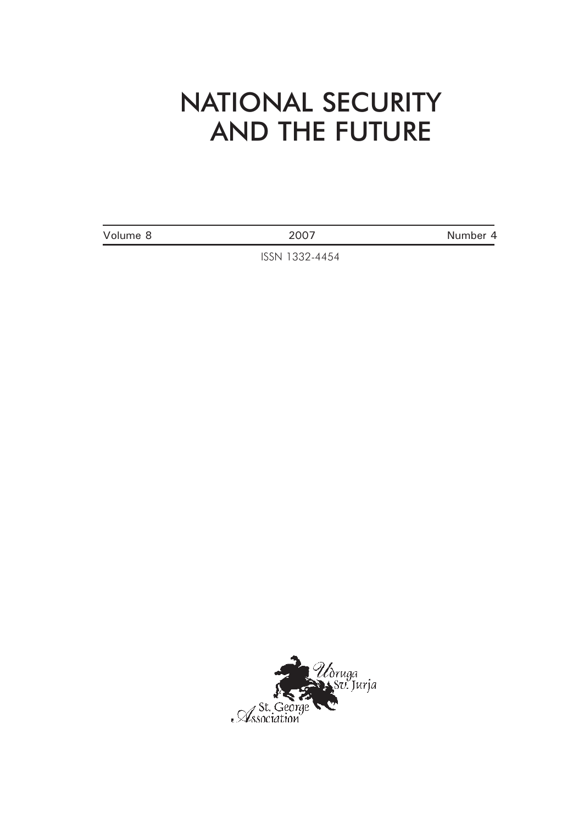## NATIONAL SECURITY AND THE FUTURE

Volume 8 2007 2007

ISSN 1332-4454